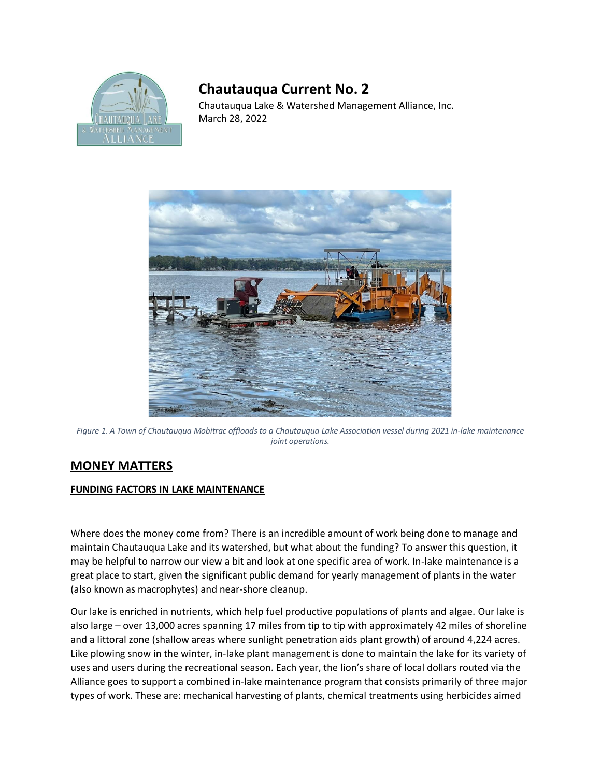

## **Chautauqua Current No. 2**

Chautauqua Lake & Watershed Management Alliance, Inc. March 28, 2022



*Figure 1. A Town of Chautauqua Mobitrac offloads to a Chautauqua Lake Association vessel during 2021 in-lake maintenance joint operations.*

## **MONEY MATTERS**

## **FUNDING FACTORS IN LAKE MAINTENANCE**

Where does the money come from? There is an incredible amount of work being done to manage and maintain Chautauqua Lake and its watershed, but what about the funding? To answer this question, it may be helpful to narrow our view a bit and look at one specific area of work. In-lake maintenance is a great place to start, given the significant public demand for yearly management of plants in the water (also known as macrophytes) and near-shore cleanup.

Our lake is enriched in nutrients, which help fuel productive populations of plants and algae. Our lake is also large – over 13,000 acres spanning 17 miles from tip to tip with approximately 42 miles of shoreline and a littoral zone (shallow areas where sunlight penetration aids plant growth) of around 4,224 acres. Like plowing snow in the winter, in-lake plant management is done to maintain the lake for its variety of uses and users during the recreational season. Each year, the lion's share of local dollars routed via the Alliance goes to support a combined in-lake maintenance program that consists primarily of three major types of work. These are: mechanical harvesting of plants, chemical treatments using herbicides aimed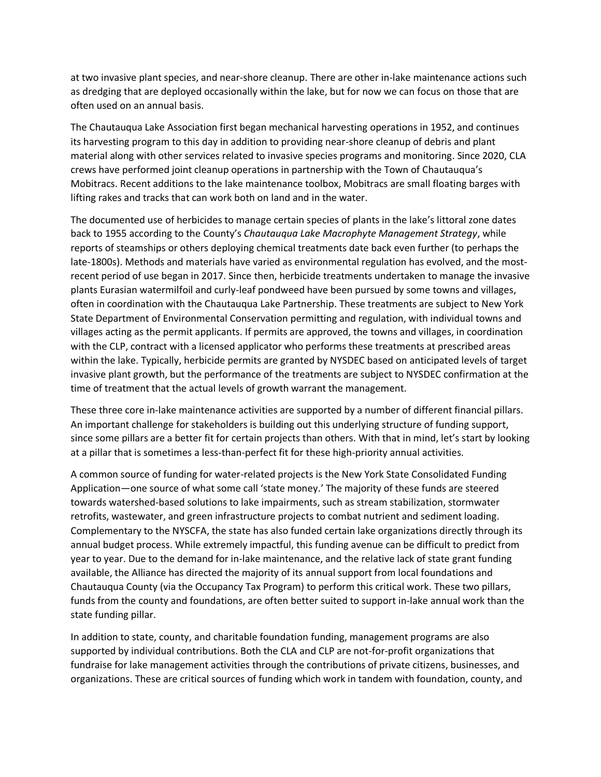at two invasive plant species, and near-shore cleanup. There are other in-lake maintenance actions such as dredging that are deployed occasionally within the lake, but for now we can focus on those that are often used on an annual basis.

The Chautauqua Lake Association first began mechanical harvesting operations in 1952, and continues its harvesting program to this day in addition to providing near-shore cleanup of debris and plant material along with other services related to invasive species programs and monitoring. Since 2020, CLA crews have performed joint cleanup operations in partnership with the Town of Chautauqua's Mobitracs. Recent additions to the lake maintenance toolbox, Mobitracs are small floating barges with lifting rakes and tracks that can work both on land and in the water.

The documented use of herbicides to manage certain species of plants in the lake's littoral zone dates back to 1955 according to the County's *Chautauqua Lake Macrophyte Management Strategy*, while reports of steamships or others deploying chemical treatments date back even further (to perhaps the late-1800s). Methods and materials have varied as environmental regulation has evolved, and the mostrecent period of use began in 2017. Since then, herbicide treatments undertaken to manage the invasive plants Eurasian watermilfoil and curly-leaf pondweed have been pursued by some towns and villages, often in coordination with the Chautauqua Lake Partnership. These treatments are subject to New York State Department of Environmental Conservation permitting and regulation, with individual towns and villages acting as the permit applicants. If permits are approved, the towns and villages, in coordination with the CLP, contract with a licensed applicator who performs these treatments at prescribed areas within the lake. Typically, herbicide permits are granted by NYSDEC based on anticipated levels of target invasive plant growth, but the performance of the treatments are subject to NYSDEC confirmation at the time of treatment that the actual levels of growth warrant the management.

These three core in-lake maintenance activities are supported by a number of different financial pillars. An important challenge for stakeholders is building out this underlying structure of funding support, since some pillars are a better fit for certain projects than others. With that in mind, let's start by looking at a pillar that is sometimes a less-than-perfect fit for these high-priority annual activities.

A common source of funding for water-related projects is the New York State Consolidated Funding Application—one source of what some call 'state money.' The majority of these funds are steered towards watershed-based solutions to lake impairments, such as stream stabilization, stormwater retrofits, wastewater, and green infrastructure projects to combat nutrient and sediment loading. Complementary to the NYSCFA, the state has also funded certain lake organizations directly through its annual budget process. While extremely impactful, this funding avenue can be difficult to predict from year to year. Due to the demand for in-lake maintenance, and the relative lack of state grant funding available, the Alliance has directed the majority of its annual support from local foundations and Chautauqua County (via the Occupancy Tax Program) to perform this critical work. These two pillars, funds from the county and foundations, are often better suited to support in-lake annual work than the state funding pillar.

In addition to state, county, and charitable foundation funding, management programs are also supported by individual contributions. Both the CLA and CLP are not-for-profit organizations that fundraise for lake management activities through the contributions of private citizens, businesses, and organizations. These are critical sources of funding which work in tandem with foundation, county, and